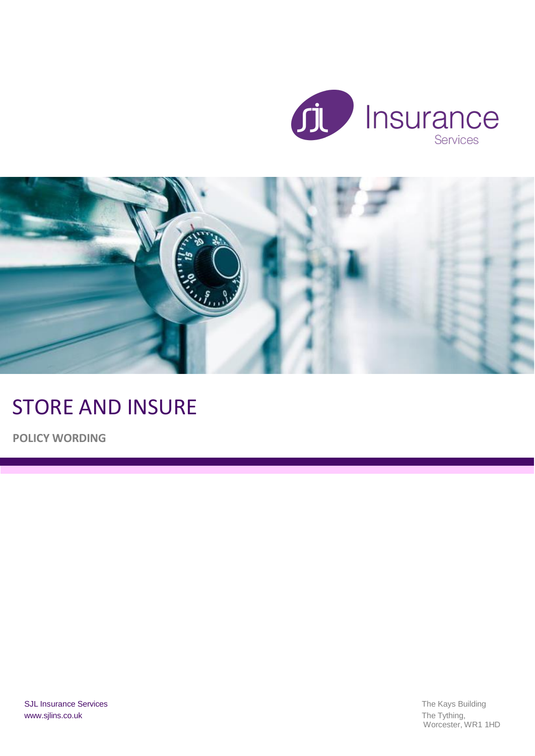



# STORE AND INSURE

**POLICY WORDING**

Worcester, WR1 1HD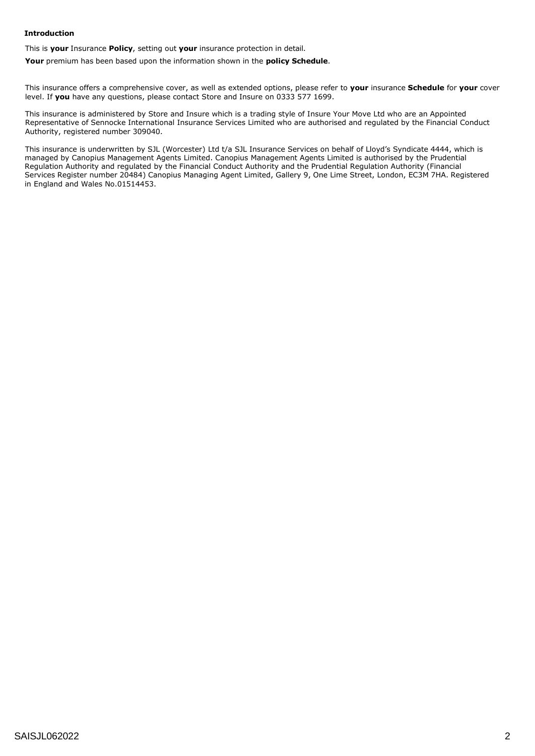#### **Introduction**

This is **your** Insurance **Policy**, setting out **your** insurance protection in detail.

**Your** premium has been based upon the information shown in the **policy Schedule**.

This insurance offers a comprehensive cover, as well as extended options, please refer to **your** insurance **Schedule** for **your** cover level. If **you** have any questions, please contact Store and Insure on 0333 577 1699.

This insurance is administered by Store and Insure which is a trading style of Insure Your Move Ltd who are an Appointed Representative of Sennocke International Insurance Services Limited who are authorised and regulated by the Financial Conduct Authority, registered number 309040.

This insurance is underwritten by SJL (Worcester) Ltd t/a SJL Insurance Services on behalf of Lloyd's Syndicate 4444, which is managed by Canopius Management Agents Limited. Canopius Management Agents Limited is authorised by the Prudential Regulation Authority and regulated by the Financial Conduct Authority and the Prudential Regulation Authority (Financial Services Register number 20484) Canopius Managing Agent Limited, Gallery 9, One Lime Street, London, EC3M 7HA. Registered in England and Wales No.01514453.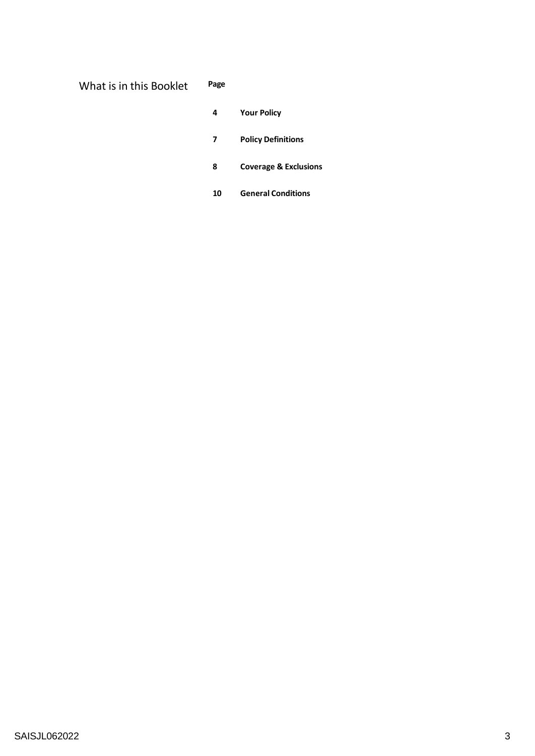| Page<br>What is in this Booklet |
|---------------------------------|
|---------------------------------|

|  | эĸ | . . |  |  |
|--|----|-----|--|--|
|  |    |     |  |  |

- **Your Policy**
- **Policy Definitions**
- **Coverage & Exclusions**
- **General Conditions**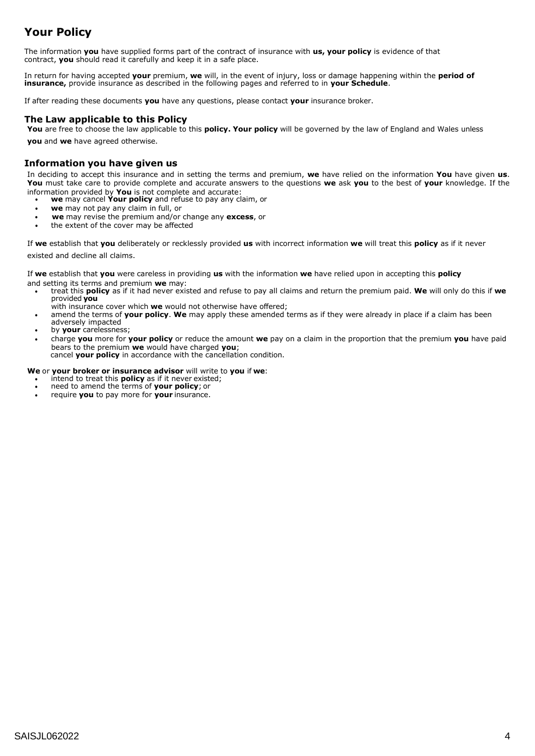## **Your Policy**

The information **you** have supplied forms part of the contract of insurance with **us, your policy** is evidence of that contract, **you** should read it carefully and keep it in a safe place.

In return for having accepted **your** premium, **we** will, in the event of injury, loss or damage happening within the **period of insurance,** provide insurance as described in the following pages and referred to in **your Schedule**.

If after reading these documents **you** have any questions, please contact **your** insurance broker.

## **The Law applicable to this Policy**

**You** are free to choose the law applicable to this **policy. Your policy** will be governed by the law of England and Wales unless **you** and **we** have agreed otherwise.

## **Information you have given us**

In deciding to accept this insurance and in setting the terms and premium, **we** have relied on the information **You** have given **us**. **You** must take care to provide complete and accurate answers to the questions **we** ask **you** to the best of **your** knowledge. If the information provided by **You** is not complete and accurate:

- **we** may cancel **Your policy** and refuse to pay any claim, or
- **we** may not pay any claim in full, or
- **we** may revise the premium and/or change any **excess**, or
- the extent of the cover may be affected

If **we** establish that **you** deliberately or recklessly provided **us** with incorrect information **we** will treat this **policy** as if it never existed and decline all claims.

If **we** establish that **you** were careless in providing **us** with the information **we** have relied upon in accepting this **policy** and setting its terms and premium **we** may:

- treat this **policy** as if it had never existed and refuse to pay all claims and return the premium paid. **We** will only do this if **we** provided **you**
	- with insurance cover which **we** would not otherwise have offered;
- amend the terms of **your policy**. **We** may apply these amended terms as if they were already in place if a claim has been adversely impacted
- by **your** carelessness;
- charge **you** more for **your policy** or reduce the amount **we** pay on a claim in the proportion that the premium **you** have paid bears to the premium **we** would have charged **you**; cancel **your policy** in accordance with the cancellation condition.

#### **We** or **your broker or insurance advisor** will write to **you** if **we**:

- **intend to treat this policy** as if it never existed;
- need to amend the terms of **your policy**; or
- require **you** to pay more for **your** insurance.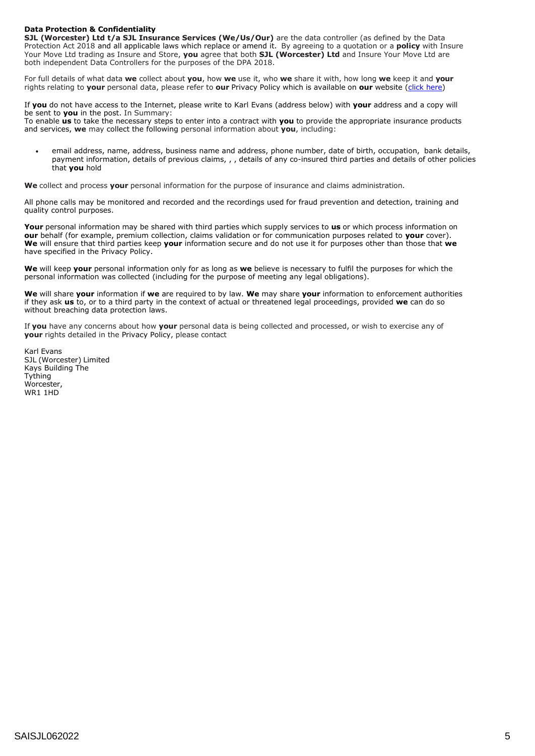#### **Data Protection & Confidentiality**

**SJL (Worcester) Ltd t/a SJL Insurance Services (We/Us/Our)** are the data controller (as defined by the Data Protection Act 2018 and all applicable laws which replace or amend it. By agreeing to a quotation or a **policy** with Insure Your Move Ltd trading as Insure and Store, **you** agree that both **SJL (Worcester) Ltd** and Insure Your Move Ltd are both independent Data Controllers for the purposes of the DPA 2018.

For full details of what data **we** collect about **you**, how **we** use it, who **we** share it with, how long **we** keep it and **your** rights relating to **your** personal data, please refer to **our** Privacy Policy which is available on **our** website (click [here\)](http://www.sjlins.co.uk/wp-content/uploads/2016/02/4981286-SJL-Privacy-Policy-V3-clean.pdf)

If **you** do not have access to the Internet, please write to Karl Evans (address below) with **your** address and a copy will be sent to **you** in the post. In Summary:

To enable **us** to take the necessary steps to enter into a contract with **you** to provide the appropriate insurance products and services, **we** may collect the following personal information about **you**, including:

 email address, name, address, business name and address, phone number, date of birth, occupation, bank details, payment information, details of previous claims, , , details of any co-insured third parties and details of other policies that **you** hold

**We** collect and process **your** personal information for the purpose of insurance and claims administration.

All phone calls may be monitored and recorded and the recordings used for fraud prevention and detection, training and quality control purposes.

**Your** personal information may be shared with third parties which supply services to **us** or which process information on **our** behalf (for example, premium collection, claims validation or for communication purposes related to **your** cover). **We** will ensure that third parties keep **your** information secure and do not use it for purposes other than those that **we**  have specified in the Privacy Policy.

**We** will keep **your** personal information only for as long as **we** believe is necessary to fulfil the purposes for which the personal information was collected (including for the purpose of meeting any legal obligations).

**We** will share **your** information if **we** are required to by law. **We** may share **your** information to enforcement authorities if they ask **us** to, or to a third party in the context of actual or threatened legal proceedings, provided **we** can do so without breaching data protection laws.

If **you** have any concerns about how **your** personal data is being collected and processed, or wish to exercise any of **your** rights detailed in the Privacy Policy, please contact

Karl Evans SJL (Worcester) Limited Kays Building The **Tything** Worcester, WR1 1HD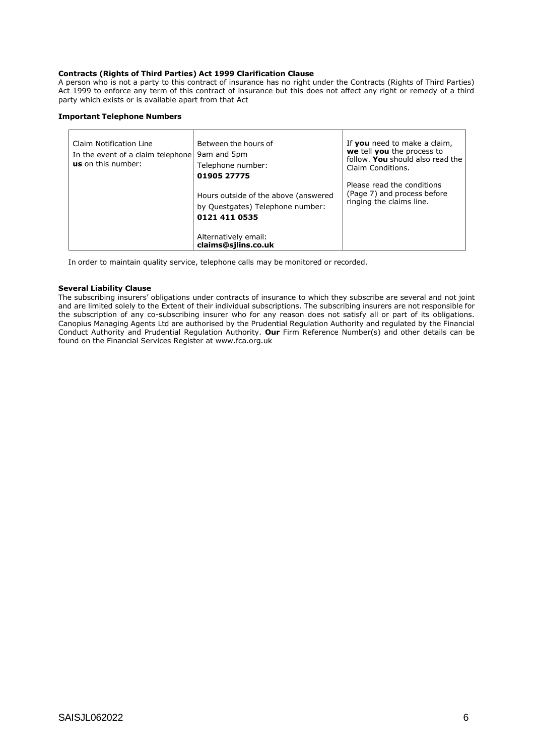#### **Contracts (Rights of Third Parties) Act 1999 Clarification Clause**

A person who is not a party to this contract of insurance has no right under the Contracts (Rights of Third Parties) Act 1999 to enforce any term of this contract of insurance but this does not affect any right or remedy of a third party which exists or is available apart from that Act

#### **Important Telephone Numbers**

| Claim Notification Line<br>In the event of a claim telephone<br><b>us</b> on this number: | Between the hours of<br>9am and 5pm<br>Telephone number:<br>01905 27775                   | If you need to make a claim,<br>we tell you the process to<br>follow. You should also read the<br>Claim Conditions. |
|-------------------------------------------------------------------------------------------|-------------------------------------------------------------------------------------------|---------------------------------------------------------------------------------------------------------------------|
|                                                                                           | Hours outside of the above (answered<br>by Questgates) Telephone number:<br>0121 411 0535 | Please read the conditions<br>(Page 7) and process before<br>ringing the claims line.                               |
|                                                                                           | Alternatively email:<br>claims@silins.co.uk                                               |                                                                                                                     |

In order to maintain quality service, telephone calls may be monitored or recorded.

#### **Several Liability Clause**

The subscribing insurers' obligations under contracts of insurance to which they subscribe are several and not joint and are limited solely to the Extent of their individual subscriptions. The subscribing insurers are not responsible for the subscription of any co-subscribing insurer who for any reason does not satisfy all or part of its obligations. Canopius Managing Agents Ltd are authorised by the Prudential Regulation Authority and regulated by the Financial Conduct Authority and Prudential Regulation Authority. **Our** Firm Reference Number(s) and other details can be found on the Financial Services Register at [www.fca.org.uk](http://www.fca.org.uk/)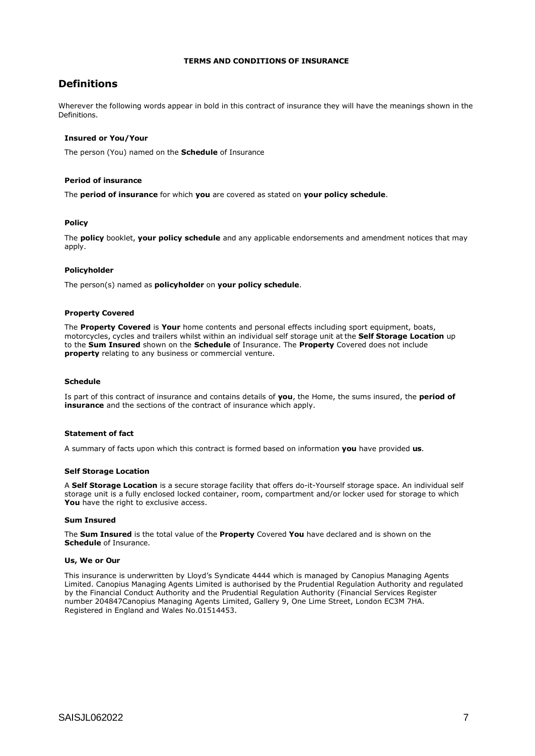#### **TERMS AND CONDITIONS OF INSURANCE**

## **Definitions**

Wherever the following words appear in bold in this contract of insurance they will have the meanings shown in the **Definitions** 

#### **Insured or You/Your**

The person (You) named on the **Schedule** of Insurance

#### **Period of insurance**

The **period of insurance** for which **you** are covered as stated on **your policy schedule**.

#### **Policy**

The **policy** booklet, **your policy schedule** and any applicable endorsements and amendment notices that may apply.

#### **Policyholder**

The person(s) named as **policyholder** on **your policy schedule**.

#### **Property Covered**

The **Property Covered** is **Your** home contents and personal effects including sport equipment, boats, motorcycles, cycles and trailers whilst within an individual self storage unit at the **Self Storage Location** up to the **Sum Insured** shown on the **Schedule** of Insurance. The **Property** Covered does not include **property** relating to any business or commercial venture.

#### **Schedule**

Is part of this contract of insurance and contains details of **you**, the Home, the sums insured, the **period of insurance** and the sections of the contract of insurance which apply.

#### **Statement of fact**

A summary of facts upon which this contract is formed based on information **you** have provided **us**.

#### **Self Storage Location**

A **Self Storage Location** is a secure storage facility that offers do-it-Yourself storage space. An individual self storage unit is a fully enclosed locked container, room, compartment and/or locker used for storage to which You have the right to exclusive access.

#### **Sum Insured**

The **Sum Insured** is the total value of the **Property** Covered **You** have declared and is shown on the **Schedule** of Insurance.

#### **Us, We or Our**

This insurance is underwritten by Lloyd's Syndicate 4444 which is managed by Canopius Managing Agents Limited. Canopius Managing Agents Limited is authorised by the Prudential Regulation Authority and regulated by the Financial Conduct Authority and the Prudential Regulation Authority (Financial Services Register number 204847Canopius Managing Agents Limited, Gallery 9, One Lime Street, London EC3M 7HA. Registered in England and Wales No.01514453.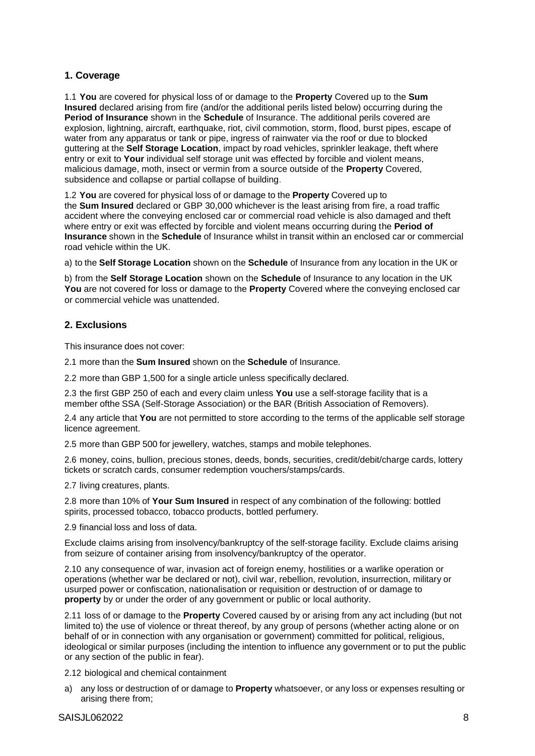## **1. Coverage**

1.1 **You** are covered for physical loss of or damage to the **Property** Covered up to the **Sum Insured** declared arising from fire (and/or the additional perils listed below) occurring during the **Period of Insurance** shown in the **Schedule** of Insurance. The additional perils covered are explosion, lightning, aircraft, earthquake, riot, civil commotion, storm, flood, burst pipes, escape of water from any apparatus or tank or pipe, ingress of rainwater via the roof or due to blocked guttering at the **Self Storage Location**, impact by road vehicles, sprinkler leakage, theft where entry or exit to **Your** individual self storage unit was effected by forcible and violent means, malicious damage, moth, insect or vermin from a source outside of the **Property** Covered, subsidence and collapse or partial collapse of building.

1.2 **You** are covered for physical loss of or damage to the **Property** Covered up to the **Sum Insured** declared or GBP 30,000 whichever is the least arising from fire, a road traffic accident where the conveying enclosed car or commercial road vehicle is also damaged and theft where entry or exit was effected by forcible and violent means occurring during the **Period of Insurance** shown in the **Schedule** of Insurance whilst in transit within an enclosed car or commercial road vehicle within the UK.

a) to the **Self Storage Location** shown on the **Schedule** of Insurance from any location in the UK or

b) from the **Self Storage Location** shown on the **Schedule** of Insurance to any location in the UK **You** are not covered for loss or damage to the **Property** Covered where the conveying enclosed car or commercial vehicle was unattended.

## **2. Exclusions**

This insurance does not cover:

2.1 more than the **Sum Insured** shown on the **Schedule** of Insurance.

2.2 more than GBP 1,500 for a single article unless specifically declared.

2.3 the first GBP 250 of each and every claim unless **You** use a self-storage facility that is a member ofthe SSA (Self-Storage Association) or the BAR (British Association of Removers).

2.4 any article that **You** are not permitted to store according to the terms of the applicable self storage licence agreement.

2.5 more than GBP 500 for jewellery, watches, stamps and mobile telephones.

2.6 money, coins, bullion, precious stones, deeds, bonds, securities, credit/debit/charge cards, lottery tickets or scratch cards, consumer redemption vouchers/stamps/cards.

2.7 living creatures, plants.

2.8 more than 10% of **Your Sum Insured** in respect of any combination of the following: bottled spirits, processed tobacco, tobacco products, bottled perfumery.

2.9 financial loss and loss of data.

Exclude claims arising from insolvency/bankruptcy of the self-storage facility. Exclude claims arising from seizure of container arising from insolvency/bankruptcy of the operator.

2.10 any consequence of war, invasion act of foreign enemy, hostilities or a warlike operation or operations (whether war be declared or not), civil war, rebellion, revolution, insurrection, military or usurped power or confiscation, nationalisation or requisition or destruction of or damage to **property** by or under the order of any government or public or local authority.

2.11 loss of or damage to the **Property** Covered caused by or arising from any act including (but not limited to) the use of violence or threat thereof, by any group of persons (whether acting alone or on behalf of or in connection with any organisation or government) committed for political, religious, ideological or similar purposes (including the intention to influence any government or to put the public or any section of the public in fear).

2.12 biological and chemical containment

a) any loss or destruction of or damage to **Property** whatsoever, or any loss or expenses resulting or arising there from;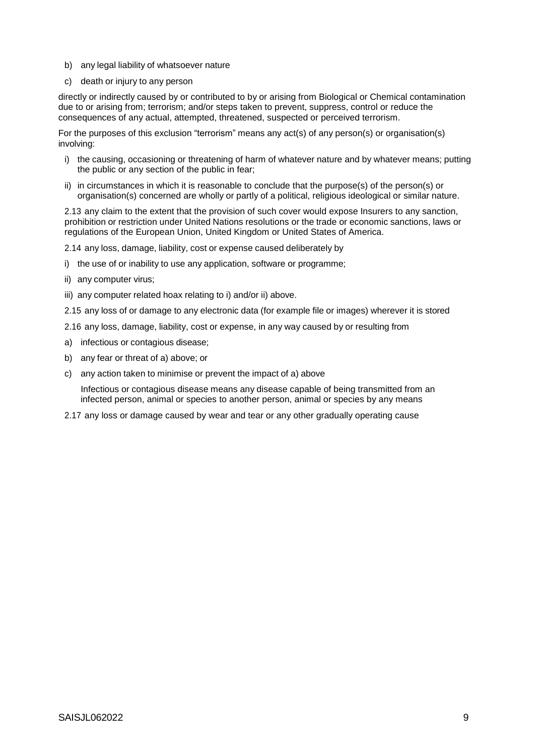- b) any legal liability of whatsoever nature
- c) death or injury to any person

directly or indirectly caused by or contributed to by or arising from Biological or Chemical contamination due to or arising from; terrorism; and/or steps taken to prevent, suppress, control or reduce the consequences of any actual, attempted, threatened, suspected or perceived terrorism.

For the purposes of this exclusion "terrorism" means any act(s) of any person(s) or organisation(s) involving:

- i) the causing, occasioning or threatening of harm of whatever nature and by whatever means; putting the public or any section of the public in fear;
- ii) in circumstances in which it is reasonable to conclude that the purpose(s) of the person(s) or organisation(s) concerned are wholly or partly of a political, religious ideological or similar nature.

2.13 any claim to the extent that the provision of such cover would expose Insurers to any sanction, prohibition or restriction under United Nations resolutions or the trade or economic sanctions, laws or regulations of the European Union, United Kingdom or United States of America.

2.14 any loss, damage, liability, cost or expense caused deliberately by

- i) the use of or inability to use any application, software or programme;
- ii) any computer virus;
- iii) any computer related hoax relating to i) and/or ii) above.

2.15 any loss of or damage to any electronic data (for example file or images) wherever it is stored

- 2.16 any loss, damage, liability, cost or expense, in any way caused by or resulting from
- a) infectious or contagious disease;
- b) any fear or threat of a) above; or
- c) any action taken to minimise or prevent the impact of a) above

Infectious or contagious disease means any disease capable of being transmitted from an infected person, animal or species to another person, animal or species by any means

2.17 any loss or damage caused by wear and tear or any other gradually operating cause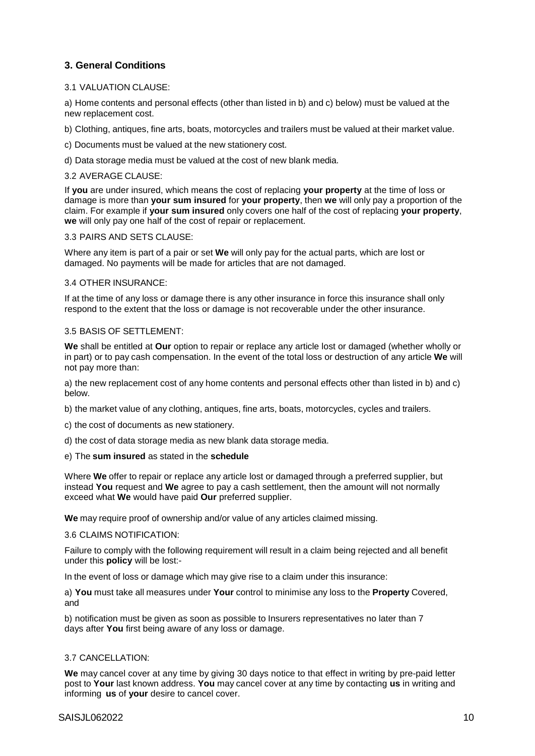## **3. General Conditions**

## 3.1 VALUATION CLAUSE:

a) Home contents and personal effects (other than listed in b) and c) below) must be valued at the new replacement cost.

b) Clothing, antiques, fine arts, boats, motorcycles and trailers must be valued at their market value.

c) Documents must be valued at the new stationery cost.

d) Data storage media must be valued at the cost of new blank media.

## 3.2 AVERAGE CLAUSE:

If **you** are under insured, which means the cost of replacing **your property** at the time of loss or damage is more than **your sum insured** for **your property**, then **we** will only pay a proportion of the claim. For example if **your sum insured** only covers one half of the cost of replacing **your property**, **we** will only pay one half of the cost of repair or replacement.

## 3.3 PAIRS AND SETS CLAUSE:

Where any item is part of a pair or set **We** will only pay for the actual parts, which are lost or damaged. No payments will be made for articles that are not damaged.

#### 3.4 OTHER INSURANCE:

If at the time of any loss or damage there is any other insurance in force this insurance shall only respond to the extent that the loss or damage is not recoverable under the other insurance.

## 3.5 BASIS OF SETTLEMENT:

**We** shall be entitled at **Our** option to repair or replace any article lost or damaged (whether wholly or in part) or to pay cash compensation. In the event of the total loss or destruction of any article **We** will not pay more than:

a) the new replacement cost of any home contents and personal effects other than listed in b) and c) below.

b) the market value of any clothing, antiques, fine arts, boats, motorcycles, cycles and trailers.

- c) the cost of documents as new stationery.
- d) the cost of data storage media as new blank data storage media.
- e) The **sum insured** as stated in the **schedule**

Where **We** offer to repair or replace any article lost or damaged through a preferred supplier, but instead **You** request and **We** agree to pay a cash settlement, then the amount will not normally exceed what **We** would have paid **Our** preferred supplier.

**We** may require proof of ownership and/or value of any articles claimed missing.

#### 3.6 CLAIMS NOTIFICATION:

Failure to comply with the following requirement will result in a claim being rejected and all benefit under this **policy** will be lost:-

In the event of loss or damage which may give rise to a claim under this insurance:

a) **You** must take all measures under **Your** control to minimise any loss to the **Property** Covered, and

b) notification must be given as soon as possible to Insurers representatives no later than 7 days after **You** first being aware of any loss or damage.

## 3.7 CANCELLATION:

**We** may cancel cover at any time by giving 30 days notice to that effect in writing by pre-paid letter post to **Your** last known address. **You** may cancel cover at any time by contacting **us** in writing and informing **us** of **your** desire to cancel cover.